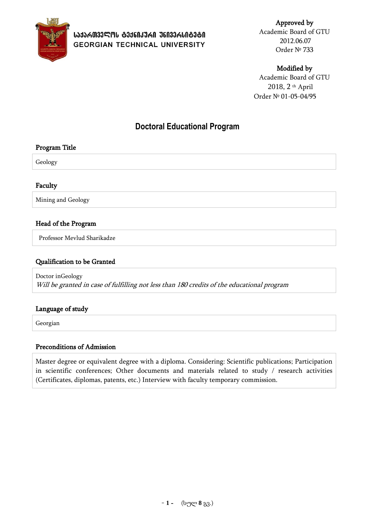

Approved by Academic Board of GTU 2012.06.07 Order № 733

### Modified by

Academic Board of GTU 2018, 2 th April Order № 01-05-04/95

# **Doctoral Educational Program**

### Program Title

Geology

### Faculty

Mining and Geology

### Head of the Program

Professor Mevlud Sharikadze

### Qualification to be Granted

Doctor inGeology Will be granted in case of fulfilling not less than 180 credits of the educational program

### Language of study

Georgian

### Preconditions of Admission

Master degree or equivalent degree with a diploma. Considering: Scientific publications; Participation in scientific conferences; Other documents and materials related to study / research activities (Certificates, diplomas, patents, etc.) Interview with faculty temporary commission.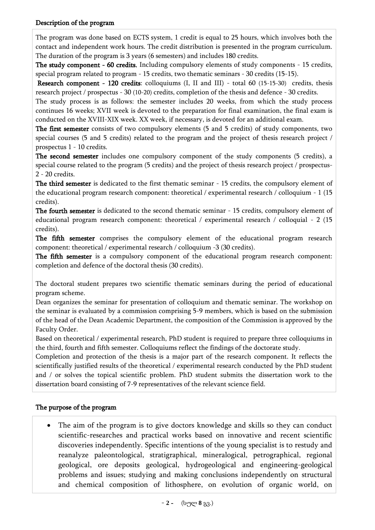### Description of the program

The program was done based on ECTS system, 1 credit is equal to 25 hours, which involves both the contact and independent work hours. The credit distribution is presented in the program curriculum. The duration of the program is 3 years (6 semesters) and includes 180 credits.

The study component - 60 credits. Including compulsory elements of study components - 15 credits, special program related to program - 15 credits, two thematic seminars - 30 credits (15-15).

Research component - 120 credits: colloquiums (I, II and III) - total 60 (15-15-30) credits, thesis research project / prospectus - 30 (10-20) credits, completion of the thesis and defence - 30 credits.

The study process is as follows: the semester includes 20 weeks, from which the study process continues 16 weeks; XVII week is devoted to the preparation for final examination, the final exam is conducted on the XVIII-XIX week. XX week, if necessary, is devoted for an additional exam.

The first semester consists of two compulsory elements (5 and 5 credits) of study components, two special courses (5 and 5 credits) related to the program and the project of thesis research project / prospectus 1 - 10 credits.

The second semester includes one compulsory component of the study components (5 credits), a special course related to the program (5 credits) and the project of thesis research project / prospectus-2 - 20 credits.

The third semester is dedicated to the first thematic seminar - 15 credits, the compulsory element of the educational program research component: theoretical / experimental research / colloquium - 1 (15 credits).

The fourth semester is dedicated to the second thematic seminar - 15 credits, compulsory element of educational program research component: theoretical / experimental research / colloquial - 2 (15 credits).

The fifth semester comprises the compulsory element of the educational program research component: theoretical / experimental research / colloquium -3 (30 credits).

The fifth semester is a compulsory component of the educational program research component: completion and defence of the doctoral thesis (30 credits).

The doctoral student prepares two scientific thematic seminars during the period of educational program scheme.

Dean organizes the seminar for presentation of colloquium and thematic seminar. The workshop on the seminar is evaluated by a commission comprising 5-9 members, which is based on the submission of the head of the Dean Academic Department, the composition of the Commission is approved by the Faculty Order.

Based on theoretical / experimental research, PhD student is required to prepare three colloquiums in the third, fourth and fifth semester. Colloquiums reflect the findings of the doctorate study.

Completion and protection of the thesis is a major part of the research component. It reflects the scientifically justified results of the theoretical / experimental research conducted by the PhD student and / or solves the topical scientific problem. PhD student submits the dissertation work to the dissertation board consisting of 7-9 representatives of the relevant science field.

## The purpose of the program

 The aim of the program is to give doctors knowledge and skills so they can conduct scientific-researches and practical works based on innovative and recent scientific discoveries independently. Specific intentions of the young specialist is to restudy and reanalyze paleontological, stratigraphical, mineralogical, petrographical, regional geological, ore deposits geological, hydrogeological and engineering-geological problems and issues; studying and making conclusions independently on structural and chemical composition of lithosphere, on evolution of organic world, on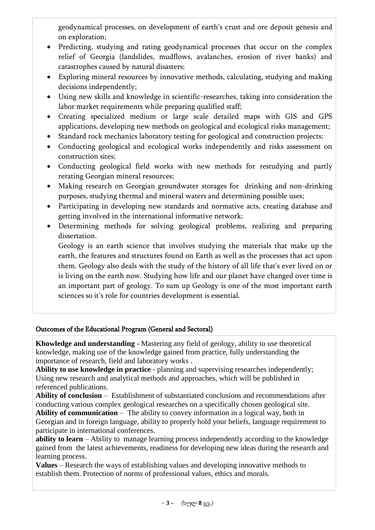geodynamical processes, on development of earth's crust and ore deposit genesis and on exploration;

- Predicting, studying and rating geodynamical processes that occur on the complex relief of Georgia (landslides, mudflows, avalanches, erosion of river banks) and catastrophes caused by natural disasters;
- Exploring mineral resources by innovative methods, calculating, studying and making decisions independently;
- Using new skills and knowledge in scientific-researches, taking into consideration the labor market requirements while preparing qualified staff;
- Creating specialized medium or large scale detailed maps with GIS and GPS applications, developing new methods on geological and ecological risks management;
- Standard rock mechanics laboratory testing for geological and construction projects;
- Conducting geological and ecological works independently and risks assessment on construction sites;
- Conducting geological field works with new methods for restudying and partly rerating Georgian mineral resources;
- Making research on Georgian groundwater storages for drinking and non-drinking purposes, studying thermal and mineral waters and determining possible uses;
- Participating in developing new standards and normative acts, creating database and getting involved in the international informative network;
- Determining methods for solving geological problems, realizing and preparing dissertation.

Geology is an earth science that involves studying the materials that make up the earth, the features and structures found on Earth as well as the processes that act upon them. Geology also deals with the study of the history of all life that's ever lived on or is living on the earth now. Studying how life and our planet have changed over time is an important part of geology. To sum up Geology is one of the most important earth sciences so it's role for countries development is essential.

## Outcomes of the Educational Program (General and Sectoral)

**Khowledge and understanding -** Mastering any field of geology, ability to use theoretical knowledge, making use of the knowledge gained from practice, fully understanding the importance of research, field and laboratory works .

**Ability to use knowledge in practice** - planning and supervising researches independently; Using new research and analytical methods and approaches, which will be published in referenced publications.

**Ability of conclusion** – Establishment of substantiated conclusions and recommendations after conducting various complex geological researches on a specifically chosen geological site.

**Ability of communication** – The ability to convey information in a logical way, both in Georgian and in foreign language, ability to properly hold your beliefs, language requirement to participate in international conferences.

**ability to learn** – Ability to manage learning process independently according to the knowledge gained from the latest achievements, readiness for developing new ideas during the research and learning process.

**Values** – Research the ways of establishing values and developing innovative methods to establish them. Protection of norms of professional values, ethics and morals.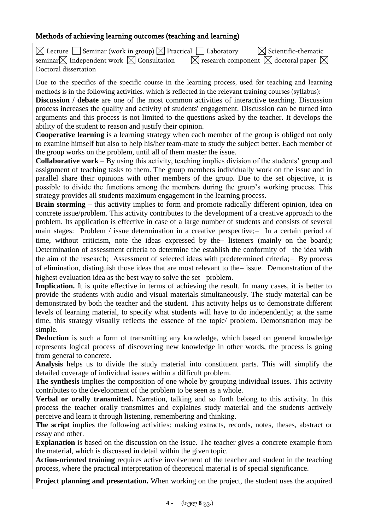### Methods of achieving learning outcomes (teaching and learning)

| $\boxtimes$ Lecture $\Box$ Seminar (work in group) $\boxtimes$ Practical $\Box$ Laboratory | $\bowtie$ Scientific-thematic                                         |
|--------------------------------------------------------------------------------------------|-----------------------------------------------------------------------|
| seminar $\boxtimes$ Independent work $\boxtimes$ Consultation                              | $\boxtimes$ research component $\boxtimes$ doctoral paper $\boxtimes$ |
| Doctoral dissertation                                                                      |                                                                       |

Due to the specifics of the specific course in the learning process, used for teaching and learning methods is in the following activities, which is reflected in the relevant training courses (syllabus):

**Discussion / debate** are one of the most common activities of interactive teaching. Discussion process increases the quality and activity of students' engagement. Discussion can be turned into arguments and this process is not limited to the questions asked by the teacher. It develops the ability of the student to reason and justify their opinion.

**Cooperative learning** is a learning strategy when each member of the group is obliged not only to examine himself but also to help his/her team-mate to study the subject better. Each member of the group works on the problem, until all of them master the issue.

**Collaborative work** – By using this activity, teaching implies division of the students' group and assignment of teaching tasks to them. The group members individually work on the issue and in parallel share their opinions with other members of the group. Due to the set objective, it is possible to divide the functions among the members during the group's working process. This strategy provides all students maximum engagement in the learning process.

**Brain storming** – this activity implies to form and promote radically different opinion, idea on concrete issue/problem. This activity contributes to the development of a creative approach to the problem. Its application is effective in case of a large number of students and consists of several main stages: Problem / issue determination in a creative perspective;- In a certain period of time, without criticism, note the ideas expressed by the listeners (mainly on the board); Determination of assessment criteria to determine the establish the conformity of - the idea with the aim of the research; Assessment of selected ideas with predetermined criteria; - By process of elimination, distinguish those ideas that are most relevant to the issue. Demonstration of the highest evaluation idea as the best way to solve the set-problem.

**Implication.** It is quite effective in terms of achieving the result. In many cases, it is better to provide the students with audio and visual materials simultaneously. The study material can be demonstrated by both the teacher and the student. This activity helps us to demonstrate different levels of learning material, to specify what students will have to do independently; at the same time, this strategy visually reflects the essence of the topic/ problem. Demonstration may be simple.

**Deduction** is such a form of transmitting any knowledge, which based on general knowledge represents logical process of discovering new knowledge in other words, the process is going from general to concrete.

**Analysis** helps us to divide the study material into constituent parts. This will simplify the detailed coverage of individual issues within a difficult problem.

**The synthesis** implies the composition of one whole by grouping individual issues. This activity contributes to the development of the problem to be seen as a whole.

**Verbal or orally transmitted.** Narration, talking and so forth belong to this activity. In this process the teacher orally transmittes and explaines study material and the students actively perceive and learn it through listening, remembering and thinking.

The script implies the following activities: making extracts, records, notes, theses, abstract or essay and other.

**Explanation** is based on the discussion on the issue. The teacher gives a concrete example from the material, which is discussed in detail within the given topic.

**Action-oriented training** requires active involvement of the teacher and student in the teaching process, where the practical interpretation of theoretical material is of special significance.

**Project planning and presentation.** When working on the project, the student uses the acquired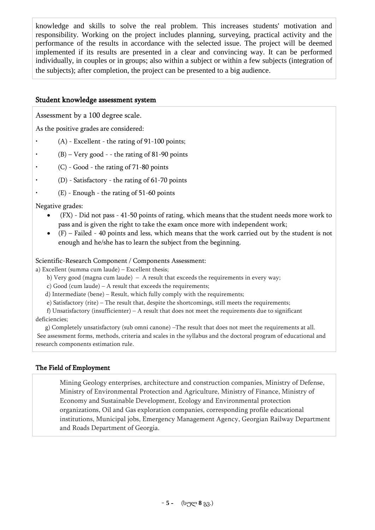knowledge and skills to solve the real problem. This increases students' motivation and responsibility. Working on the project includes planning, surveying, practical activity and the performance of the results in accordance with the selected issue. The project will be deemed implemented if its results are presented in a clear and convincing way. It can be performed individually, in couples or in groups; also within a subject or within a few subjects (integration of the subjects); after completion, the project can be presented to a big audience.

### Student knowledge assessment system

Assessment by a 100 degree scale.

As the positive grades are considered:

- $(A)$  Excellent the rating of 91-100 points;
- $(B)$  Very good - the rating of 81-90 points
- $(C)$  Good the rating of 71-80 points
- (D) Satisfactory the rating of  $61-70$  points
- $(E)$  Enough the rating of 51-60 points

Negative grades:

- (FX) Did not pass 41-50 points of rating, which means that the student needs more work to pass and is given the right to take the exam once more with independent work;
- (F) Failed 40 points and less, which means that the work carried out by the student is not enough and he/she has to learn the subject from the beginning.

### Scientific-Research Component / Components Assessment:

a) Excellent (summa cum laude) – Excellent thesis;

- b) Very good (magna cum laude) A result that exceeds the requirements in every way;
- c) Good (cum laude) A result that exceeds the requirements;
- d) Intermediate (bene) Result, which fully comply with the requirements;
- e) Satisfactory (rite) The result that, despite the shortcomings, still meets the requirements;

f) Unsatisfactory (insufficienter) – A result that does not meet the requirements due to significant deficiencies;

 g) Completely unsatisfactory (sub omni canone) –The result that does not meet the requirements at all. See assessment forms, methods, criteria and scales in the syllabus and the doctoral program of educational and research components estimation rule.

### The Field of Employment

Mining Geology enterprises, architecture and construction companies, Ministry of Defense, Ministry of Environmental Protection and Agriculture, Ministry of Finance, Ministry of Economy and Sustainable Development, Ecology and Environmental protection organizations, Oil and Gas exploration companies, corresponding profile educational institutions, Municipal jobs, Emergency Management Agency, Georgian Railway Department and Roads Department of Georgia.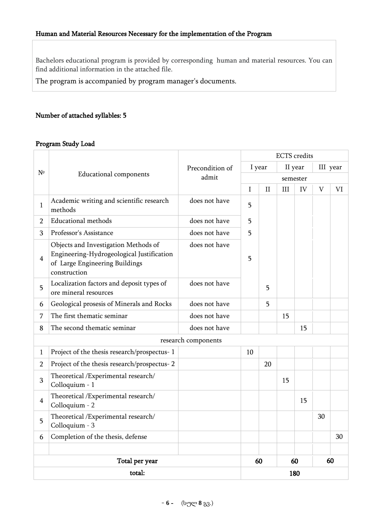Bachelors educational program is provided by corresponding human and material resources. You can find additional information in the attached file.

The program is accompanied by program manager's documents.

### Number of attached syllables: 5

### Program Study Load

|                |                                                                                                                                     |                          |     | <b>ECTS</b> credits |          |         |             |    |  |
|----------------|-------------------------------------------------------------------------------------------------------------------------------------|--------------------------|-----|---------------------|----------|---------|-------------|----|--|
| N <sup>o</sup> | <b>Educational components</b>                                                                                                       | Precondition of<br>admit |     | I year              |          | II year | III year    |    |  |
|                |                                                                                                                                     |                          |     |                     | semester |         |             |    |  |
|                |                                                                                                                                     |                          | I   | $\mathbf{I}$        | III      | IV      | $\mathbf V$ | VI |  |
| $\mathbf{1}$   | Academic writing and scientific research<br>methods                                                                                 | does not have            | 5   |                     |          |         |             |    |  |
| $\overline{2}$ | <b>Educational methods</b>                                                                                                          | does not have            | 5   |                     |          |         |             |    |  |
| 3              | Professor's Assistance                                                                                                              | does not have            | 5   |                     |          |         |             |    |  |
| $\overline{4}$ | Objects and Investigation Methods of<br>Engineering-Hydrogeological Justification<br>of Large Engineering Buildings<br>construction | does not have            | 5   |                     |          |         |             |    |  |
| 5              | Localization factors and deposit types of<br>ore mineral resources                                                                  | does not have            |     | 5                   |          |         |             |    |  |
| 6              | Geological prosesis of Minerals and Rocks                                                                                           | does not have            |     | 5                   |          |         |             |    |  |
| 7              | The first thematic seminar                                                                                                          | does not have            |     |                     | 15       |         |             |    |  |
| 8              | The second thematic seminar<br>does not have                                                                                        |                          |     |                     |          | 15      |             |    |  |
|                |                                                                                                                                     | research components      |     |                     |          |         |             |    |  |
| $\mathbf{1}$   | Project of the thesis research/prospectus-1                                                                                         |                          | 10  |                     |          |         |             |    |  |
| $\overline{2}$ | Project of the thesis research/prospectus-2                                                                                         |                          |     | 20                  |          |         |             |    |  |
| 3              | Theoretical /Experimental research/<br>Colloquium - 1                                                                               |                          |     |                     | 15       |         |             |    |  |
| $\overline{4}$ | Theoretical /Experimental research/<br>Colloquium - 2                                                                               |                          |     |                     |          | 15      |             |    |  |
| 5              | Theoretical /Experimental research/<br>Colloquium - 3                                                                               |                          |     |                     |          |         | 30          |    |  |
| 6              | Completion of the thesis, defense                                                                                                   |                          |     |                     |          |         |             | 30 |  |
|                |                                                                                                                                     |                          |     |                     |          |         |             |    |  |
|                | Total per year                                                                                                                      |                          |     | 60                  |          | 60      | 60          |    |  |
|                | total:                                                                                                                              |                          | 180 |                     |          |         |             |    |  |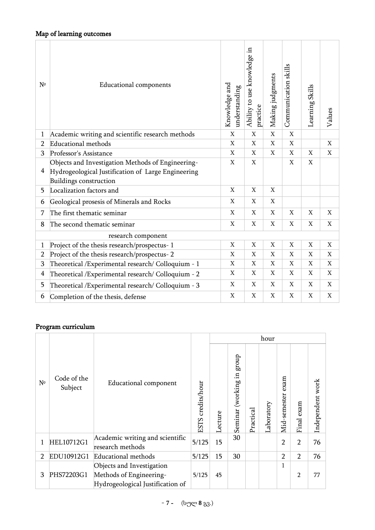| $N^{\circ}$    | <b>Educational components</b>                                                | Knowledge and<br>understanding | Ξ.<br>Ability to use knowledge<br>practice | Making judgments          | Communication skills | Learning Skills | Values       |
|----------------|------------------------------------------------------------------------------|--------------------------------|--------------------------------------------|---------------------------|----------------------|-----------------|--------------|
|                | Academic writing and scientific research methods                             | $\mathbf X$                    | $\mathbf X$                                | $\overline{X}$            | $\mathbf X$          |                 |              |
| $\overline{2}$ | <b>Educational methods</b>                                                   | $\mathbf X$                    | $\mathbf X$                                | X                         | X                    |                 | $\mathbf X$  |
| 3              | Professor's Assistance                                                       | X                              | $\mathbf X$                                | X                         | X                    | $\mathbf X$     | X            |
|                | Objects and Investigation Methods of Engineering-                            | X                              | $\mathbf X$                                |                           | $\mathbf X$          | X               |              |
| 4              | Hydrogeological Justification of Large Engineering<br>Buildings construction |                                |                                            |                           |                      |                 |              |
| 5              | Localization factors and                                                     | $\mathbf X$                    | $\mathbf X$                                | $\mathbf X$               |                      |                 |              |
| 6              | Geological prosesis of Minerals and Rocks                                    | X                              | X                                          | $\mathbf X$               |                      |                 |              |
| 7              | The first thematic seminar                                                   | X                              | X                                          | X                         | X                    | X               | $\mathbf{X}$ |
| 8              | The second thematic seminar                                                  | X                              | X                                          | X                         | X                    | X               | X            |
|                | research component                                                           |                                |                                            |                           |                      |                 |              |
| $\mathbf 1$    | Project of the thesis research/prospectus-1                                  | $\mathbf X$                    | $\boldsymbol{\mathrm{X}}$                  | $\boldsymbol{\mathrm{X}}$ | $\mathbf X$          | $\overline{X}$  | X            |
| $\overline{2}$ | Project of the thesis research/prospectus-2                                  | X                              | $\mathbf X$                                | $\mathbf X$               | $\mathbf X$          | $\mathbf X$     | X            |
| 3              | Theoretical /Experimental research/ Colloquium - 1                           | X                              | $\mathbf X$                                | X                         | X                    | $\mathbf X$     | $\mathbf X$  |
| 4              | Theoretical /Experimental research/ Colloquium - 2                           |                                | X                                          | X                         | X                    | X               | X            |
| 5              | Theoretical / Experimental research/ Colloquium - 3                          | X                              | $\mathbf X$                                | X                         | X                    | $\mathbf X$     | X            |
| 6              | Completion of the thesis, defense                                            | X                              | $\mathbf X$                                | X                         | X                    | X               | $\mathbf X$  |

# Program curriculum

|                |                        | hour                                                                                     |                   |         |                                    |           |            |                      |                |                  |
|----------------|------------------------|------------------------------------------------------------------------------------------|-------------------|---------|------------------------------------|-----------|------------|----------------------|----------------|------------------|
| $N^{\circ}$    | Code of the<br>Subject | <b>Educational component</b>                                                             | ESTS credits/hour | Lecture | dnorg<br>크.<br>(working<br>Seminar | Practical | Laboratory | exam<br>Mid-semester | exam<br>Final  | Independent work |
|                | HEL10712G1             | Academic writing and scientific<br>research methods                                      | 5/125             | 15      | 30                                 |           |            | $\overline{2}$       | $\overline{2}$ | 76               |
| $\overline{2}$ | EDU10912G1             | Educational methods                                                                      | 5/125             | 15      | 30                                 |           |            | $\overline{2}$       | $\overline{2}$ | 76               |
| 3              | PHS72203G1             | Objects and Investigation<br>Methods of Engineering-<br>Hydrogeological Justification of | 5/125             | 45      |                                    |           |            | $\mathbf{1}$         | $\overline{2}$ | 77               |